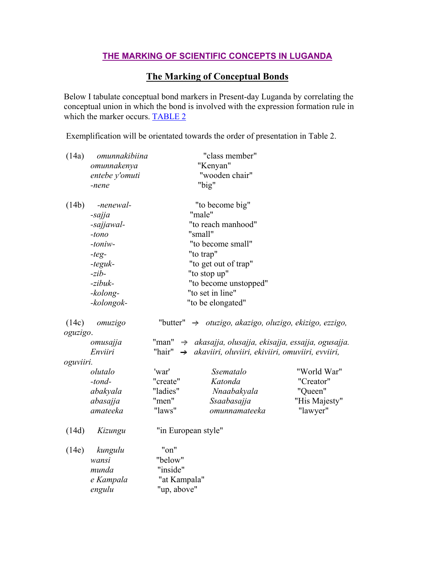## **THE MARKING OF SCIENTIFIC CONCEPTS IN LUGANDA**

## **The Marking of Conceptual Bonds**

Below I tabulate conceptual bond markers in Present-day Luganda by correlating the conceptual union in which the bond is involved with the expression formation rule in which the marker occurs. **TABLE 2** 

Exemplification will be orientated towards the order of presentation in Table 2.

| (14a)             | omunnakibiina | "class member"          |                                                                      |               |
|-------------------|---------------|-------------------------|----------------------------------------------------------------------|---------------|
|                   | omunnakenya   | "Kenyan"                |                                                                      |               |
| entebe y'omuti    |               | "wooden chair"          |                                                                      |               |
|                   | -nene         |                         | "big"                                                                |               |
| (14b)             | -nenewal-     |                         | "to become big"                                                      |               |
|                   | -sajja        | "male"                  |                                                                      |               |
|                   | -sajjawal-    | "to reach manhood"      |                                                                      |               |
|                   | $-tono$       | "small"                 |                                                                      |               |
|                   | $-toniv-$     | "to become small"       |                                                                      |               |
|                   | $-teg-$       | "to trap"               |                                                                      |               |
|                   | -teguk-       | "to get out of trap"    |                                                                      |               |
|                   | $-zib-$       | "to stop up"            |                                                                      |               |
|                   | -zibuk-       | "to become unstopped"   |                                                                      |               |
|                   | -kolong-      | "to set in line"        |                                                                      |               |
|                   | -kolongok-    |                         | "to be elongated"                                                    |               |
| (14c)<br>oguzigo. | omuzigo       |                         | "butter" $\rightarrow$ otuzigo, akazigo, oluzigo, ekizigo, ezzigo,   |               |
|                   | omusajja      |                         | "man" $\rightarrow$ akasajja, olusajja, ekisajja, essajja, ogusajja. |               |
|                   | Enviiri       | "hair"<br>$\rightarrow$ | akaviiri, oluviiri, ekiviiri, omuviiri, evviiri,                     |               |
| oguviiri.         |               |                         |                                                                      |               |
|                   | olutalo       | 'war'                   | Ssematalo                                                            | "World War"   |
|                   | $-tond-$      | "create"                | Katonda                                                              | "Creator"     |
|                   | abakyala      | "ladies"                | Nnaabakyala                                                          | "Queen"       |
|                   | abasajja      | "men"                   | Ssaabasajja                                                          | "His Majesty" |
|                   | amateeka      | "laws"                  | omunnamateeka                                                        | "lawyer"      |
| (14d)             | Kizungu       | "in European style"     |                                                                      |               |
| (14e)             | kungulu       | "on"                    |                                                                      |               |
|                   | wansi         | "below"                 |                                                                      |               |
|                   | munda         | "inside"                |                                                                      |               |
|                   | e Kampala     | "at Kampala"            |                                                                      |               |
|                   | engulu        | "up, above"             |                                                                      |               |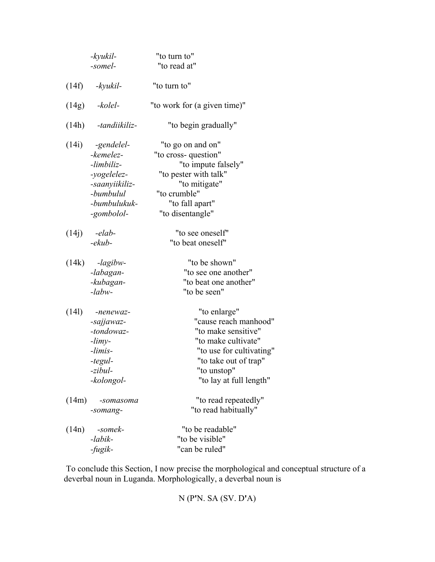|       | -kyukil-<br>-somel-                                                                                               | "to turn to"<br>"to read at"                                                                                                                                                       |
|-------|-------------------------------------------------------------------------------------------------------------------|------------------------------------------------------------------------------------------------------------------------------------------------------------------------------------|
| (14f) | -kyukil-                                                                                                          | "to turn to"                                                                                                                                                                       |
| (14g) | -kolel-                                                                                                           | "to work for (a given time)"                                                                                                                                                       |
| (14h) | -tandiikiliz-                                                                                                     | "to begin gradually"                                                                                                                                                               |
| (14i) | -gendelel-<br>-kemelez-<br>-limbiliz-<br>-yogelelez-<br>-saanyiikiliz-<br>-bumbulul<br>-bumbulukuk-<br>-gombolol- | "to go on and on"<br>"to cross-question"<br>"to impute falsely"<br>"to pester with talk"<br>"to mitigate"<br>"to crumble"<br>"to fall apart"<br>"to disentangle"                   |
| (14j) | -elab-<br>$-ekub-$                                                                                                | "to see oneself"<br>"to beat oneself"                                                                                                                                              |
| (14k) | -lagibw-<br>-labagan-<br>-kubagan-<br>$-labw-$                                                                    | "to be shown"<br>"to see one another"<br>"to beat one another"<br>"to be seen"                                                                                                     |
| (141) | -nenewaz-<br>-sajjawaz-<br>-tondowaz-<br>$-limy-$<br>-limis-<br>-tegul-<br>$-zibul$<br>-kolongol-                 | "to enlarge"<br>"cause reach manhood"<br>"to make sensitive"<br>"to make cultivate"<br>"to use for cultivating"<br>"to take out of trap"<br>"to unstop"<br>"to lay at full length" |
| (14m) | -somasoma<br>-somang-                                                                                             | "to read repeatedly"<br>"to read habitually"                                                                                                                                       |
| (14n) | -somek-<br>-labik-<br>-fugik-                                                                                     | "to be readable"<br>"to be visible"<br>"can be ruled"                                                                                                                              |

 To conclude this Section, I now precise the morphological and conceptual structure of a deverbal noun in Luganda. Morphologically, a deverbal noun is

N (P**'**N. SA (SV. D**'**A)